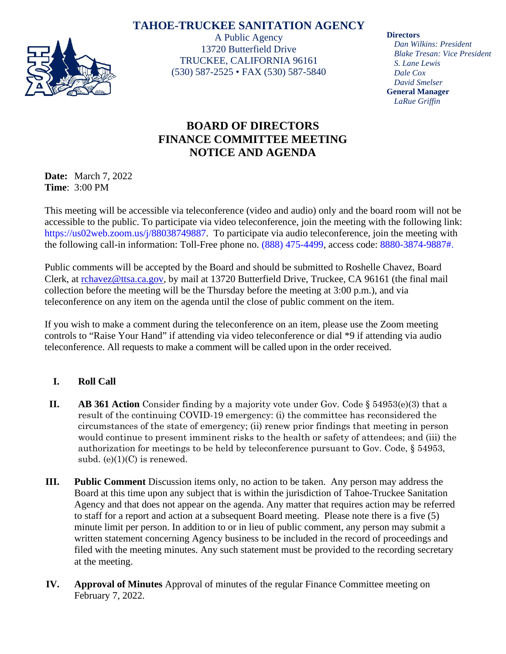## **TAHOE-TRUCKEE SANITATION AGENCY**



A Public Agency 13720 Butterfield Drive TRUCKEE, CALIFORNIA 96161 (530) 587-2525 • FAX (530) 587-5840 **Directors**

*Dan Wilkins: President Blake Tresan: Vice President S. Lane Lewis Dale Cox David Smelser* **General Manager** *LaRue Griffin*

## **BOARD OF DIRECTORS FINANCE COMMITTEE MEETING NOTICE AND AGENDA**

**Date:** March 7, 2022 **Time**: 3:00 PM

This meeting will be accessible via teleconference (video and audio) only and the board room will not be accessible to the public. To participate via video teleconference, join the meeting with the following link: https://us02web.zoom.us/j/88038749887. To participate via audio teleconference, join the meeting with the following call-in information: Toll-Free phone no. (888) 475-4499, access code: 8880-3874-9887#.

Public comments will be accepted by the Board and should be submitted to Roshelle Chavez, Board Clerk, at [rchavez@ttsa.ca.gov,](mailto:rchavez@ttsa.ca.gov) by mail at 13720 Butterfield Drive, Truckee, CA 96161 (the final mail collection before the meeting will be the Thursday before the meeting at 3:00 p.m.), and via teleconference on any item on the agenda until the close of public comment on the item.

If you wish to make a comment during the teleconference on an item, please use the Zoom meeting controls to "Raise Your Hand" if attending via video teleconference or dial \*9 if attending via audio teleconference. All requests to make a comment will be called upon in the order received.

## **I. Roll Call**

- **II. AB 361 Action** Consider finding by a majority vote under Gov. Code § 54953(e)(3) that a result of the continuing COVID-19 emergency: (i) the committee has reconsidered the circumstances of the state of emergency; (ii) renew prior findings that meeting in person would continue to present imminent risks to the health or safety of attendees; and (iii) the authorization for meetings to be held by teleconference pursuant to Gov. Code, § 54953, subd.  $(e)(1)(C)$  is renewed.
- **III. Public Comment** Discussion items only, no action to be taken. Any person may address the Board at this time upon any subject that is within the jurisdiction of Tahoe-Truckee Sanitation Agency and that does not appear on the agenda. Any matter that requires action may be referred to staff for a report and action at a subsequent Board meeting. Please note there is a five (5) minute limit per person. In addition to or in lieu of public comment, any person may submit a written statement concerning Agency business to be included in the record of proceedings and filed with the meeting minutes. Any such statement must be provided to the recording secretary at the meeting.
- **IV. Approval of Minutes** Approval of minutes of the regular Finance Committee meeting on February 7, 2022.